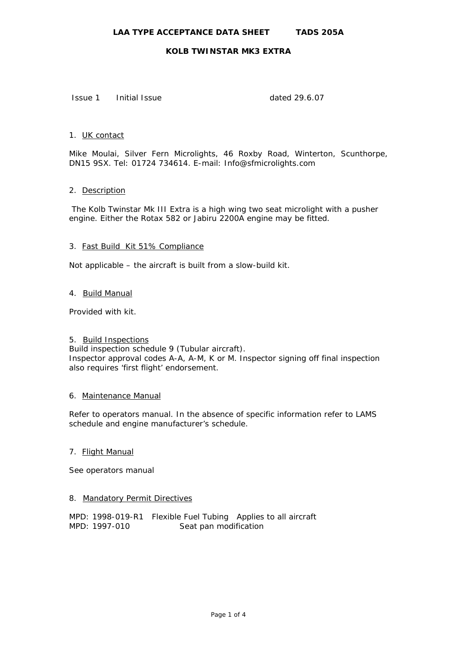Issue 1 Initial Issue dated 29.6.07

## 1. UK contact

Mike Moulai, Silver Fern Microlights, 46 Roxby Road, Winterton, Scunthorpe, DN15 9SX. Tel: 01724 734614. E-mail: Info@sfmicrolights.com

## 2. Description

 The Kolb Twinstar Mk III Extra is a high wing two seat microlight with a pusher engine. Either the Rotax 582 or Jabiru 2200A engine may be fitted.

## 3. Fast Build Kit 51% Compliance

Not applicable – the aircraft is built from a slow-build kit.

## 4. Build Manual

Provided with kit.

# 5. Build Inspections

Build inspection schedule 9 (Tubular aircraft). Inspector approval codes A-A, A-M, K or M. Inspector signing off final inspection also requires 'first flight' endorsement.

## 6. Maintenance Manual

Refer to operators manual. In the absence of specific information refer to LAMS schedule and engine manufacturer's schedule.

## 7. Flight Manual

See operators manual

# 8. Mandatory Permit Directives

MPD: 1998-019-R1 Flexible Fuel Tubing Applies to all aircraft MPD: 1997-010 Seat pan modification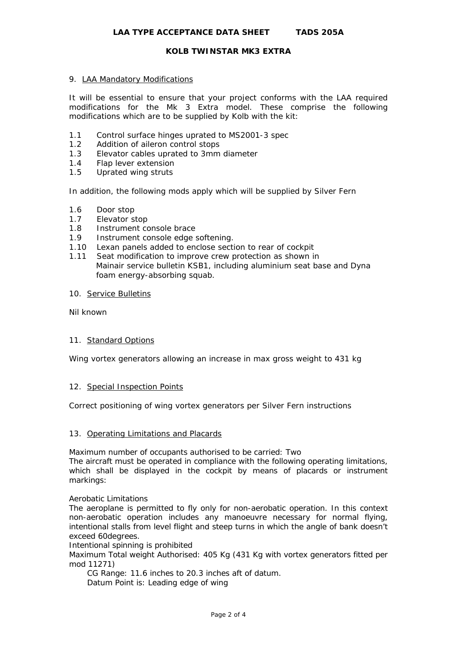## 9. LAA Mandatory Modifications

It will be essential to ensure that your project conforms with the LAA required modifications for the Mk 3 Extra model. These comprise the following modifications which are to be supplied by Kolb with the kit:

- 1.1 Control surface hinges uprated to MS2001-3 spec
- 1.2 Addition of aileron control stops
- 1.3 Elevator cables uprated to 3mm diameter
- 1.4 Flap lever extension
- 1.5 Uprated wing struts

In addition, the following mods apply which will be supplied by Silver Fern

- 1.6 Door stop
- 1.7 Elevator stop
- 1.8 Instrument console brace
- 1.9 Instrument console edge softening.
- 1.10 Lexan panels added to enclose section to rear of cockpit
- 1.11 Seat modification to improve crew protection as shown in Mainair service bulletin KSB1, including aluminium seat base and Dyna foam energy-absorbing squab.
- 10. Service Bulletins

Nil known

## 11. Standard Options

Wing vortex generators allowing an increase in max gross weight to 431 kg

## 12. Special Inspection Points

Correct positioning of wing vortex generators per Silver Fern instructions

## 13. Operating Limitations and Placards

Maximum number of occupants authorised to be carried: Two

The aircraft must be operated in compliance with the following operating limitations, which shall be displayed in the cockpit by means of placards or instrument markings:

Aerobatic Limitations

The aeroplane is permitted to fly only for non-aerobatic operation. In this context non-aerobatic operation includes any manoeuvre necessary for normal flying, intentional stalls from level flight and steep turns in which the angle of bank doesn't exceed 60degrees.

Intentional spinning is prohibited

Maximum Total weight Authorised: 405 Kg (431 Kg with vortex generators fitted per mod 11271)

 CG Range: 11.6 inches to 20.3 inches aft of datum. Datum Point is: Leading edge of wing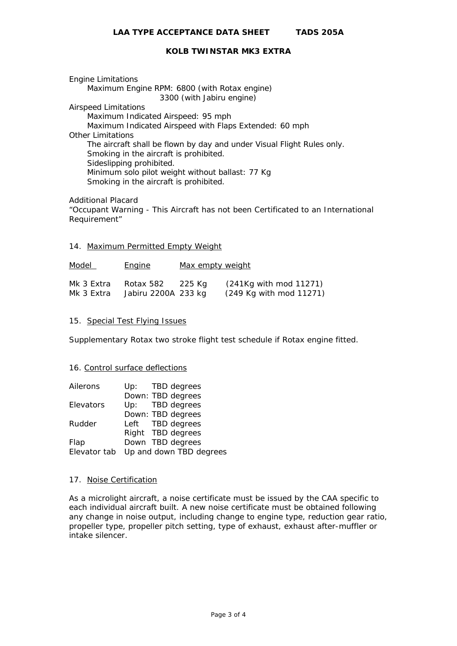Engine Limitations Maximum Engine RPM: 6800 (with Rotax engine) 3300 (with Jabiru engine) Airspeed Limitations Maximum Indicated Airspeed: 95 mph Maximum Indicated Airspeed with Flaps Extended: 60 mph Other Limitations The aircraft shall be flown by day and under Visual Flight Rules only. Smoking in the aircraft is prohibited. Sideslipping prohibited. Minimum solo pilot weight without ballast: 77 Kg Smoking in the aircraft is prohibited.

Additional Placard

"Occupant Warning - This Aircraft has not been Certificated to an International Requirement"

#### 14. Maximum Permitted Empty Weight

Model **Engine** Max empty weight Mk 3 Extra Rotax 582 225 Kg (241Kg with mod 11271) Mk 3 Extra Jabiru 2200A 233 kg (249 Kg with mod 11271)

#### 15. Special Test Flying Issues

Supplementary Rotax two stroke flight test schedule if Rotax engine fitted.

#### 16. Control surface deflections

| Ailerons     |                         | Up: TBD degrees   |
|--------------|-------------------------|-------------------|
|              |                         | Down: TBD degrees |
| Elevators    |                         | Up: TBD degrees   |
|              |                         | Down: TBD degrees |
| Rudder       |                         | Left TBD degrees  |
|              |                         | Right TBD degrees |
| Flap         |                         | Down TBD degrees  |
| Elevator tab | Up and down TBD degrees |                   |

#### 17. Noise Certification

As a microlight aircraft, a noise certificate must be issued by the CAA specific to each individual aircraft built. A new noise certificate must be obtained following any change in noise output, including change to engine type, reduction gear ratio, propeller type, propeller pitch setting, type of exhaust, exhaust after-muffler or intake silencer.